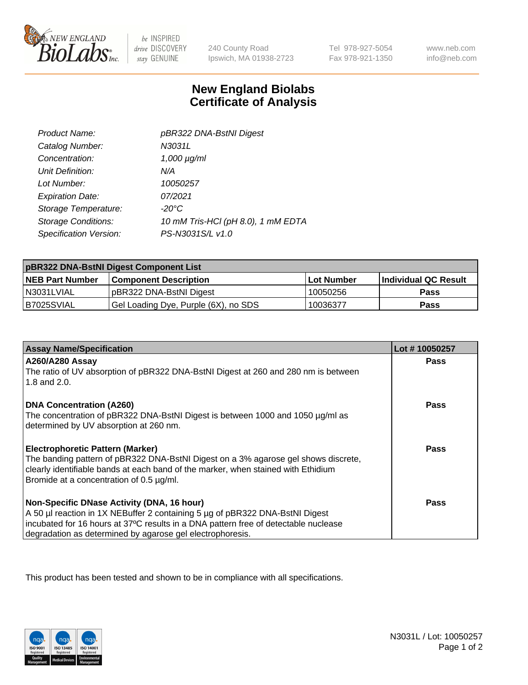

 $be$  INSPIRED drive DISCOVERY stay GENUINE

240 County Road Ipswich, MA 01938-2723 Tel 978-927-5054 Fax 978-921-1350

www.neb.com info@neb.com

## **New England Biolabs Certificate of Analysis**

| Product Name:              | pBR322 DNA-BstNI Digest            |
|----------------------------|------------------------------------|
| Catalog Number:            | N3031L                             |
| Concentration:             | $1,000 \mu g/ml$                   |
| Unit Definition:           | N/A                                |
| Lot Number:                | 10050257                           |
| <b>Expiration Date:</b>    | 07/2021                            |
| Storage Temperature:       | $-20^{\circ}$ C                    |
| <b>Storage Conditions:</b> | 10 mM Tris-HCl (pH 8.0), 1 mM EDTA |
| Specification Version:     | PS-N3031S/L v1.0                   |

| pBR322 DNA-BstNI Digest Component List |                                      |            |                      |  |
|----------------------------------------|--------------------------------------|------------|----------------------|--|
| <b>NEB Part Number</b>                 | <b>Component Description</b>         | Lot Number | Individual QC Result |  |
| N3031LVIAL                             | pBR322 DNA-BstNI Digest              | 10050256   | <b>Pass</b>          |  |
| B7025SVIAL                             | Gel Loading Dye, Purple (6X), no SDS | 10036377   | <b>Pass</b>          |  |

| <b>Assay Name/Specification</b>                                                                                                                                         | Lot #10050257 |
|-------------------------------------------------------------------------------------------------------------------------------------------------------------------------|---------------|
| <b>A260/A280 Assay</b><br>The ratio of UV absorption of pBR322 DNA-BstNI Digest at 260 and 280 nm is between                                                            | <b>Pass</b>   |
| 1.8 and 2.0.                                                                                                                                                            |               |
| <b>DNA Concentration (A260)</b>                                                                                                                                         | Pass          |
| The concentration of pBR322 DNA-BstNI Digest is between 1000 and 1050 µg/ml as<br>determined by UV absorption at 260 nm.                                                |               |
|                                                                                                                                                                         |               |
| <b>Electrophoretic Pattern (Marker)</b>                                                                                                                                 | Pass          |
| The banding pattern of pBR322 DNA-BstNI Digest on a 3% agarose gel shows discrete,<br>clearly identifiable bands at each band of the marker, when stained with Ethidium |               |
| Bromide at a concentration of 0.5 µg/ml.                                                                                                                                |               |
| Non-Specific DNase Activity (DNA, 16 hour)                                                                                                                              | Pass          |
| A 50 µl reaction in 1X NEBuffer 2 containing 5 µg of pBR322 DNA-BstNI Digest                                                                                            |               |
| incubated for 16 hours at 37°C results in a DNA pattern free of detectable nuclease                                                                                     |               |
| degradation as determined by agarose gel electrophoresis.                                                                                                               |               |

This product has been tested and shown to be in compliance with all specifications.